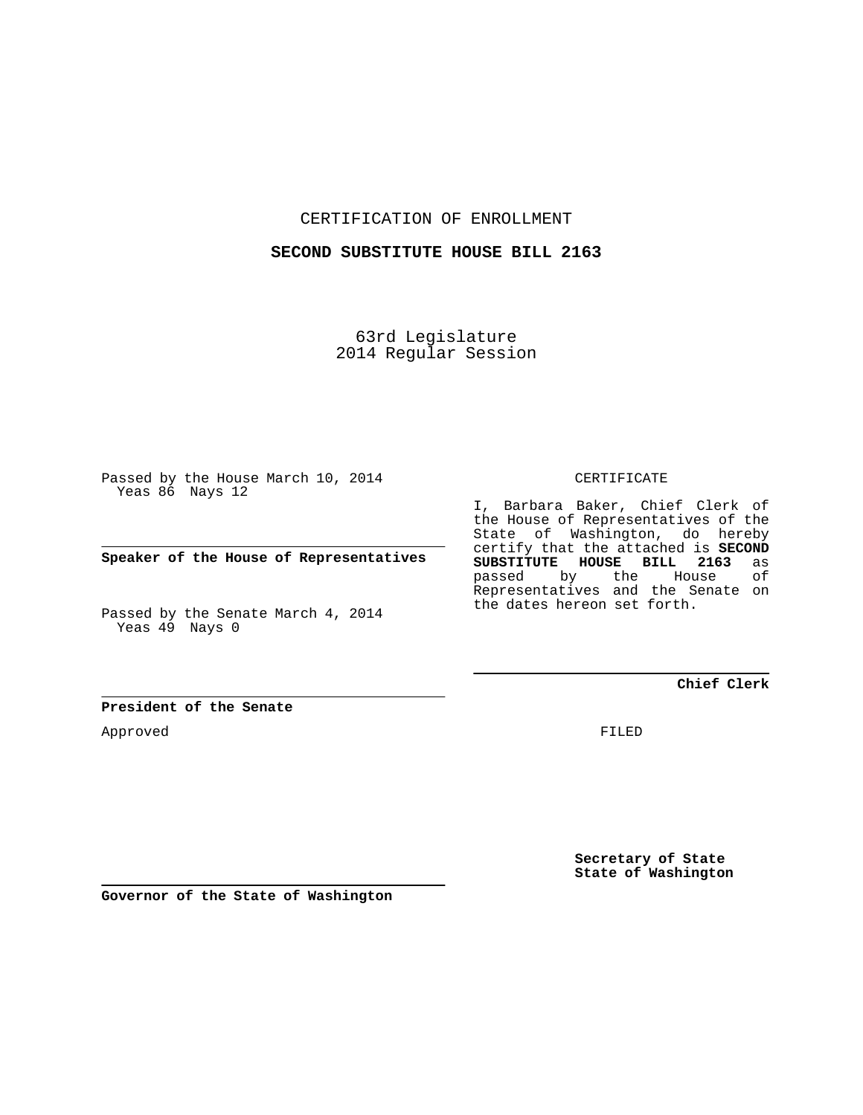CERTIFICATION OF ENROLLMENT

## **SECOND SUBSTITUTE HOUSE BILL 2163**

63rd Legislature 2014 Regular Session

Passed by the House March 10, 2014 Yeas 86 Nays 12

**Speaker of the House of Representatives**

Passed by the Senate March 4, 2014 Yeas 49 Nays 0

**President of the Senate**

Approved

CERTIFICATE

I, Barbara Baker, Chief Clerk of the House of Representatives of the State of Washington, do hereby certify that the attached is **SECOND SUBSTITUTE HOUSE BILL 2163** as **House** Representatives and the Senate on the dates hereon set forth.

**Chief Clerk**

FILED

**Secretary of State State of Washington**

**Governor of the State of Washington**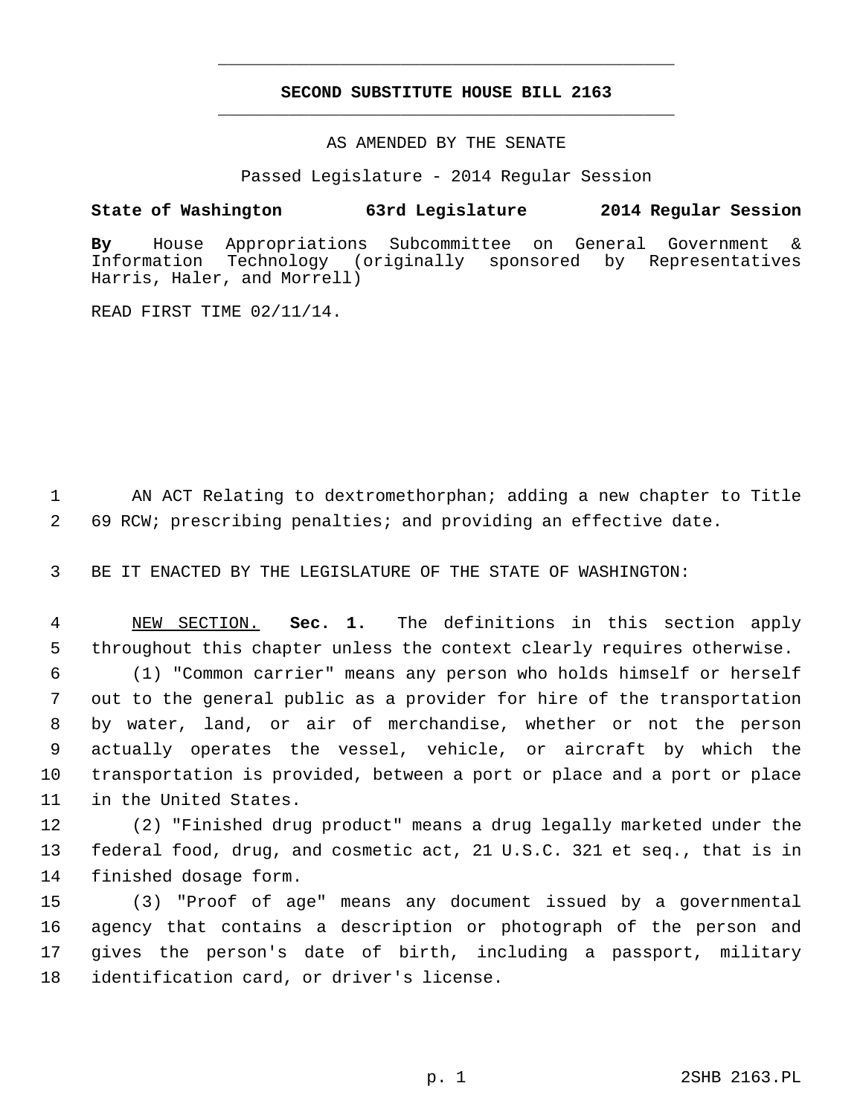## **SECOND SUBSTITUTE HOUSE BILL 2163** \_\_\_\_\_\_\_\_\_\_\_\_\_\_\_\_\_\_\_\_\_\_\_\_\_\_\_\_\_\_\_\_\_\_\_\_\_\_\_\_\_\_\_\_\_

\_\_\_\_\_\_\_\_\_\_\_\_\_\_\_\_\_\_\_\_\_\_\_\_\_\_\_\_\_\_\_\_\_\_\_\_\_\_\_\_\_\_\_\_\_

AS AMENDED BY THE SENATE

Passed Legislature - 2014 Regular Session

## **State of Washington 63rd Legislature 2014 Regular Session**

**By** House Appropriations Subcommittee on General Government & Information Technology (originally sponsored by Representatives Harris, Haler, and Morrell)

READ FIRST TIME 02/11/14.

 1 AN ACT Relating to dextromethorphan; adding a new chapter to Title 2 69 RCW; prescribing penalties; and providing an effective date.

3 BE IT ENACTED BY THE LEGISLATURE OF THE STATE OF WASHINGTON:

 4 NEW SECTION. **Sec. 1.** The definitions in this section apply 5 throughout this chapter unless the context clearly requires otherwise.

 6 (1) "Common carrier" means any person who holds himself or herself 7 out to the general public as a provider for hire of the transportation 8 by water, land, or air of merchandise, whether or not the person 9 actually operates the vessel, vehicle, or aircraft by which the 10 transportation is provided, between a port or place and a port or place 11 in the United States.

12 (2) "Finished drug product" means a drug legally marketed under the 13 federal food, drug, and cosmetic act, 21 U.S.C. 321 et seq., that is in 14 finished dosage form.

15 (3) "Proof of age" means any document issued by a governmental 16 agency that contains a description or photograph of the person and 17 gives the person's date of birth, including a passport, military 18 identification card, or driver's license.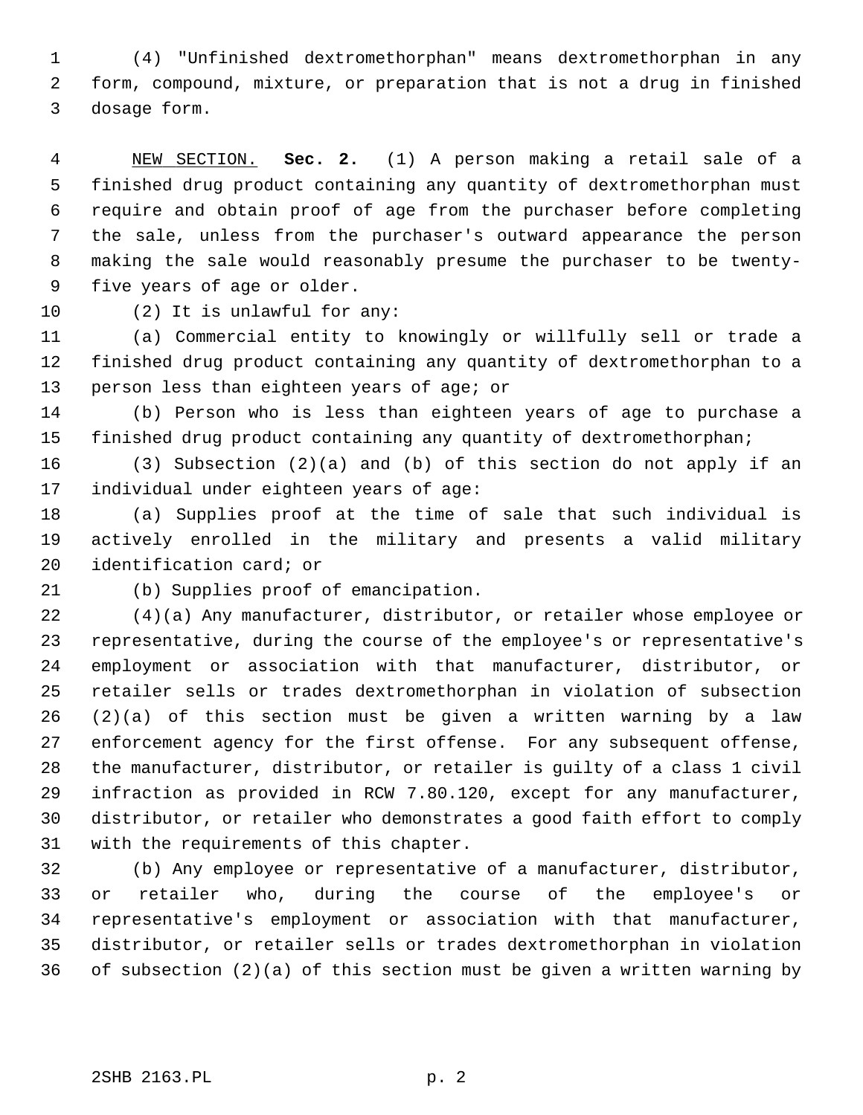1 (4) "Unfinished dextromethorphan" means dextromethorphan in any 2 form, compound, mixture, or preparation that is not a drug in finished 3 dosage form.

 4 NEW SECTION. **Sec. 2.** (1) A person making a retail sale of a 5 finished drug product containing any quantity of dextromethorphan must 6 require and obtain proof of age from the purchaser before completing 7 the sale, unless from the purchaser's outward appearance the person 8 making the sale would reasonably presume the purchaser to be twenty- 9 five years of age or older.

10 (2) It is unlawful for any:

11 (a) Commercial entity to knowingly or willfully sell or trade a 12 finished drug product containing any quantity of dextromethorphan to a 13 person less than eighteen years of age; or

14 (b) Person who is less than eighteen years of age to purchase a 15 finished drug product containing any quantity of dextromethorphan;

16 (3) Subsection (2)(a) and (b) of this section do not apply if an 17 individual under eighteen years of age:

18 (a) Supplies proof at the time of sale that such individual is 19 actively enrolled in the military and presents a valid military 20 identification card; or

21 (b) Supplies proof of emancipation.

22 (4)(a) Any manufacturer, distributor, or retailer whose employee or 23 representative, during the course of the employee's or representative's 24 employment or association with that manufacturer, distributor, or 25 retailer sells or trades dextromethorphan in violation of subsection 26 (2)(a) of this section must be given a written warning by a law 27 enforcement agency for the first offense. For any subsequent offense, 28 the manufacturer, distributor, or retailer is guilty of a class 1 civil 29 infraction as provided in RCW 7.80.120, except for any manufacturer, 30 distributor, or retailer who demonstrates a good faith effort to comply 31 with the requirements of this chapter.

32 (b) Any employee or representative of a manufacturer, distributor, 33 or retailer who, during the course of the employee's or 34 representative's employment or association with that manufacturer, 35 distributor, or retailer sells or trades dextromethorphan in violation 36 of subsection (2)(a) of this section must be given a written warning by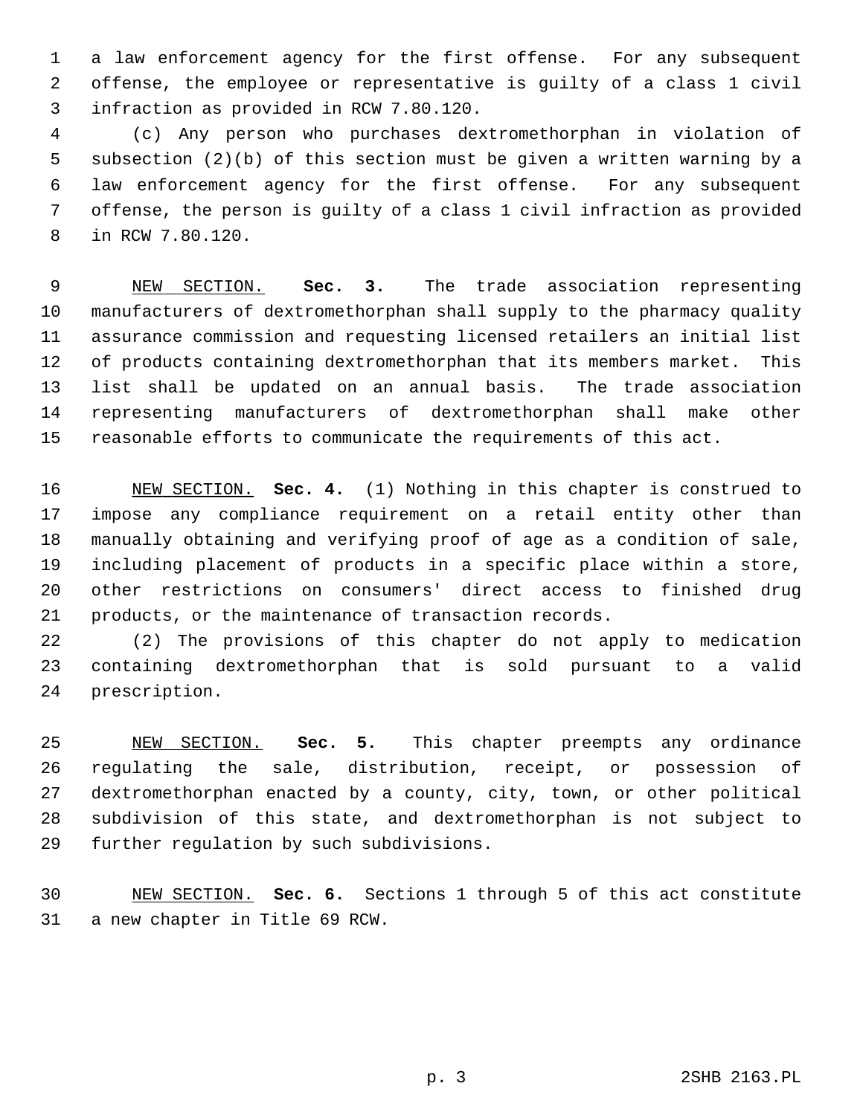1 a law enforcement agency for the first offense. For any subsequent 2 offense, the employee or representative is guilty of a class 1 civil 3 infraction as provided in RCW 7.80.120.

 4 (c) Any person who purchases dextromethorphan in violation of 5 subsection (2)(b) of this section must be given a written warning by a 6 law enforcement agency for the first offense. For any subsequent 7 offense, the person is guilty of a class 1 civil infraction as provided 8 in RCW 7.80.120.

 9 NEW SECTION. **Sec. 3.** The trade association representing 10 manufacturers of dextromethorphan shall supply to the pharmacy quality 11 assurance commission and requesting licensed retailers an initial list 12 of products containing dextromethorphan that its members market. This 13 list shall be updated on an annual basis. The trade association 14 representing manufacturers of dextromethorphan shall make other 15 reasonable efforts to communicate the requirements of this act.

16 NEW SECTION. **Sec. 4.** (1) Nothing in this chapter is construed to 17 impose any compliance requirement on a retail entity other than 18 manually obtaining and verifying proof of age as a condition of sale, 19 including placement of products in a specific place within a store, 20 other restrictions on consumers' direct access to finished drug 21 products, or the maintenance of transaction records.

22 (2) The provisions of this chapter do not apply to medication 23 containing dextromethorphan that is sold pursuant to a valid 24 prescription.

25 NEW SECTION. **Sec. 5.** This chapter preempts any ordinance 26 regulating the sale, distribution, receipt, or possession of 27 dextromethorphan enacted by a county, city, town, or other political 28 subdivision of this state, and dextromethorphan is not subject to 29 further regulation by such subdivisions.

30 NEW SECTION. **Sec. 6.** Sections 1 through 5 of this act constitute 31 a new chapter in Title 69 RCW.